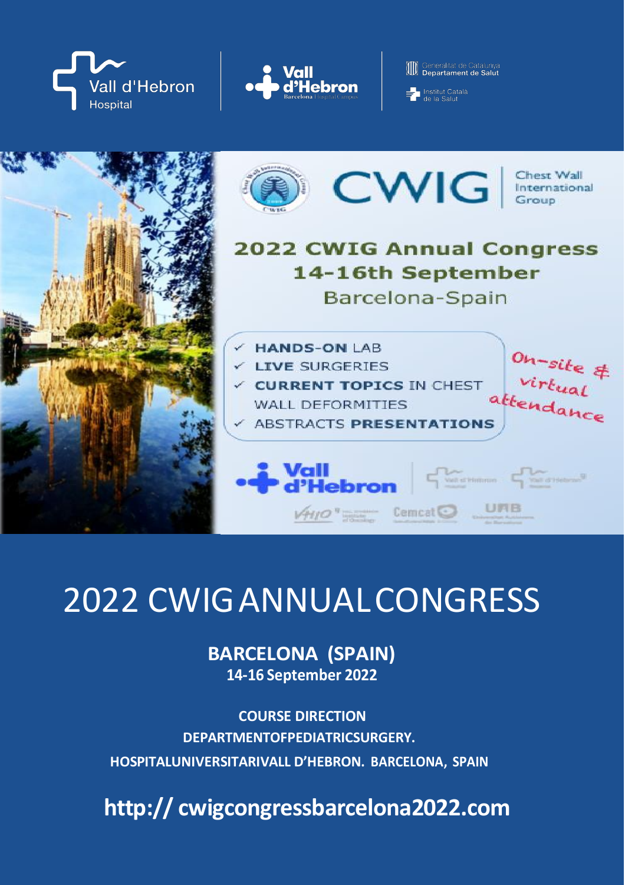



**ID** Generalitat de Catalunya



# 2022 CWIGANNUALCONGRESS

**BARCELONA (SPAIN) 14-16 September 2022**

**COURSE DIRECTION DEPARTMENTOFPEDIATRIC SURGERY. HOSPITALUNIVERSITARIVALL D'HEBRON. BARCELONA, SPAIN**

**http:// cwigcongressbarcelona2022.com**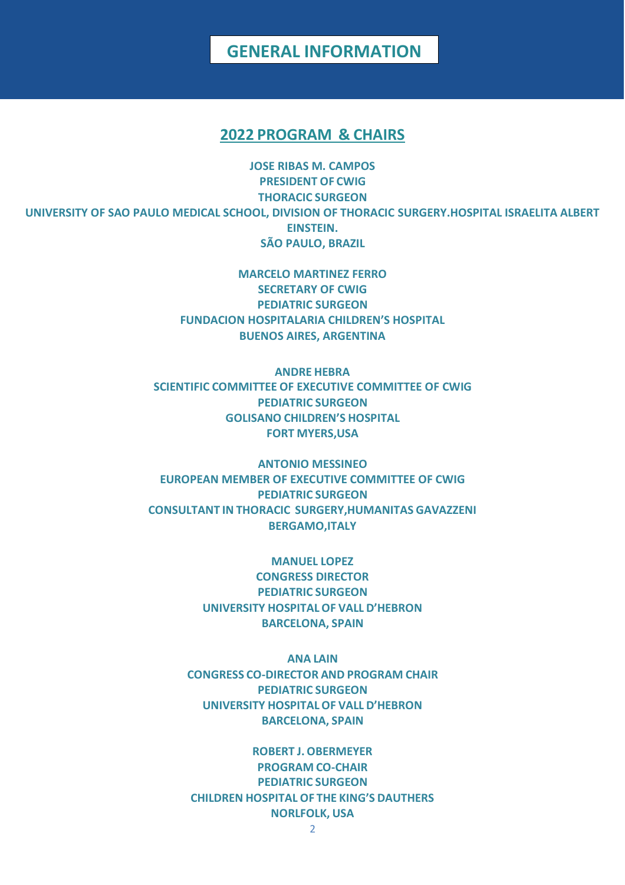### **GENERAL INFORMATION**

#### **2022 PROGRAM & CHAIRS**

**JOSE RIBAS M. CAMPOS PRESIDENT OF CWIG THORACIC SURGEON UNIVERSITY OF SAO PAULO MEDICAL SCHOOL, DIVISION OF THORACIC SURGERY.HOSPITAL ISRAELITA ALBERT EINSTEIN. SÃO PAULO, BRAZIL**

> **MARCELO MARTINEZ FERRO SECRETARY OF CWIG PEDIATRIC SURGEON FUNDACION HOSPITALARIA CHILDREN'S HOSPITAL BUENOS AIRES, ARGENTINA**

**ANDRE HEBRA SCIENTIFIC COMMITTEE OF EXECUTIVE COMMITTEE OF CWIG PEDIATRIC SURGEON GOLISANO CHILDREN'S HOSPITAL FORT MYERS,USA**

**ANTONIO MESSINEO EUROPEAN MEMBER OF EXECUTIVE COMMITTEE OF CWIG PEDIATRIC SURGEON CONSULTANT IN THORACIC SURGERY,HUMANITAS GAVAZZENI BERGAMO,ITALY**

> **MANUEL LOPEZ CONGRESS DIRECTOR PEDIATRIC SURGEON UNIVERSITY HOSPITALOF VALL D'HEBRON BARCELONA, SPAIN**

**ANA LAIN CONGRESS CO-DIRECTOR AND PROGRAM CHAIR PEDIATRIC SURGEON UNIVERSITY HOSPITALOF VALL D'HEBRON BARCELONA, SPAIN**

**ROBERT J. OBERMEYER PROGRAM CO-CHAIR PEDIATRIC SURGEON CHILDREN HOSPITAL OF THE KING'S DAUTHERS NORLFOLK, USA**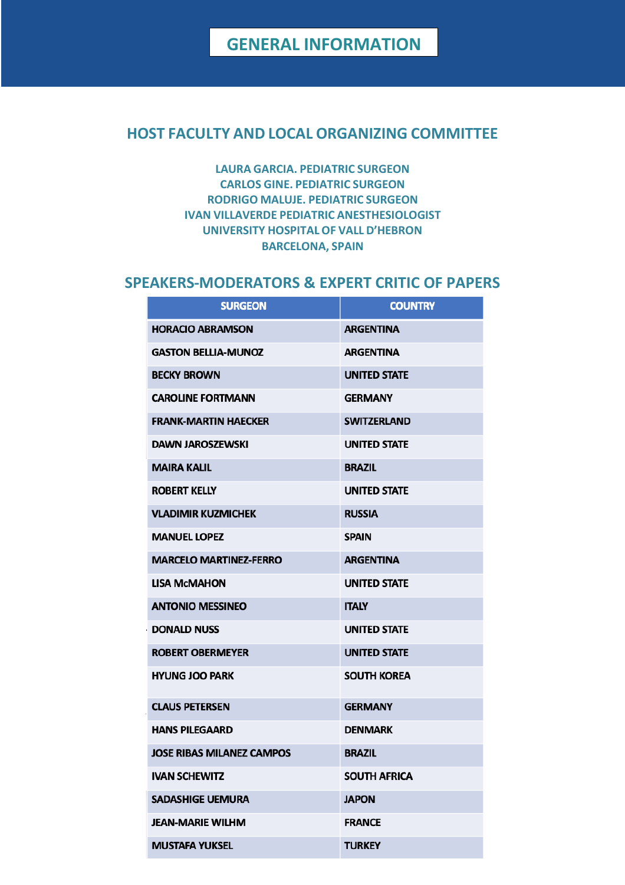### **HOST FACULTY AND LOCAL ORGANIZING COMMITTEE**

**LAURA GARCIA. PEDIATRIC SURGEON CARLOS GINE. PEDIATRIC SURGEON RODRIGO MALUJE. PEDIATRIC SURGEON IVAN VILLAVERDE PEDIATRIC ANESTHESIOLOGIST UNIVERSITY HOSPITALOF VALL D'HEBRON BARCELONA, SPAIN**

### **SPEAKERS-MODERATORS & EXPERT CRITIC OF PAPERS**

| <b>SURGEON</b>                   | <b>COUNTRY</b>      |
|----------------------------------|---------------------|
| <b>HORACIO ABRAMSON</b>          | <b>ARGENTINA</b>    |
| <b>GASTON BELLIA-MUNOZ</b>       | <b>ARGENTINA</b>    |
| <b>BECKY BROWN</b>               | <b>UNITED STATE</b> |
| <b>CAROLINE FORTMANN</b>         | <b>GERMANY</b>      |
| <b>FRANK-MARTIN HAECKER</b>      | <b>SWITZERLAND</b>  |
| <b>DAWN JAROSZEWSKI</b>          | <b>UNITED STATE</b> |
| <b>MAIRA KALIL</b>               | <b>BRAZIL</b>       |
| <b>ROBERT KELLY</b>              | <b>UNITED STATE</b> |
| <b>VLADIMIR KUZMICHEK</b>        | <b>RUSSIA</b>       |
| <b>MANUEL LOPEZ</b>              | <b>SPAIN</b>        |
| <b>MARCELO MARTINEZ-FERRO</b>    | <b>ARGENTINA</b>    |
| <b>LISA MCMAHON</b>              | <b>UNITED STATE</b> |
| <b>ANTONIO MESSINEO</b>          | <b>ITALY</b>        |
| <b>DONALD NUSS</b>               | <b>UNITED STATE</b> |
| <b>ROBERT OBERMEYER</b>          | <b>UNITED STATE</b> |
| <b>HYUNG JOO PARK</b>            | <b>SOUTH KOREA</b>  |
| <b>CLAUS PETERSEN</b>            | <b>GERMANY</b>      |
| <b>HANS PILEGAARD</b>            | <b>DENMARK</b>      |
| <b>JOSE RIBAS MILANEZ CAMPOS</b> | <b>BRAZIL</b>       |
| <b>IVAN SCHEWITZ</b>             | <b>SOUTH AFRICA</b> |
| <b>SADASHIGE UEMURA</b>          | <b>JAPON</b>        |
| <b>JEAN-MARIE WILHM</b>          | <b>FRANCE</b>       |
| <b>MUSTAFA YUKSEL</b>            | <b>TURKEY</b>       |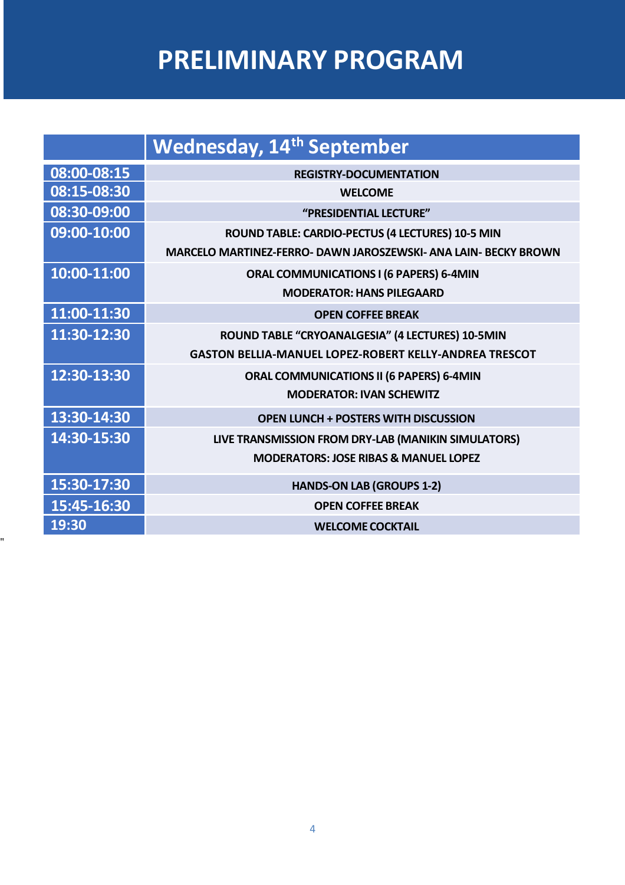# **PRELIMINARY PROGRAM**

|             | <b>Wednesday, 14th September</b>                                |
|-------------|-----------------------------------------------------------------|
| 08:00-08:15 | <b>REGISTRY-DOCUMENTATION</b>                                   |
| 08:15-08:30 | <b>WELCOME</b>                                                  |
| 08:30-09:00 | "PRESIDENTIAL LECTURE"                                          |
| 09:00-10:00 | ROUND TABLE: CARDIO-PECTUS (4 LECTURES) 10-5 MIN                |
|             | MARCELO MARTINEZ-FERRO- DAWN JAROSZEWSKI- ANA LAIN- BECKY BROWN |
| 10:00-11:00 | ORAL COMMUNICATIONS I (6 PAPERS) 6-4MIN                         |
|             | <b>MODERATOR: HANS PILEGAARD</b>                                |
| 11:00-11:30 | <b>OPEN COFFEE BREAK</b>                                        |
| 11:30-12:30 | ROUND TABLE "CRYOANALGESIA" (4 LECTURES) 10-5MIN                |
|             | <b>GASTON BELLIA-MANUEL LOPEZ-ROBERT KELLY-ANDREA TRESCOT</b>   |
| 12:30-13:30 | <b>ORAL COMMUNICATIONS II (6 PAPERS) 6-4MIN</b>                 |
|             | <b>MODERATOR: IVAN SCHEWITZ</b>                                 |
| 13:30-14:30 | <b>OPEN LUNCH + POSTERS WITH DISCUSSION</b>                     |
| 14:30-15:30 | LIVE TRANSMISSION FROM DRY-LAB (MANIKIN SIMULATORS)             |
|             | <b>MODERATORS: JOSE RIBAS &amp; MANUEL LOPEZ</b>                |
| 15:30-17:30 | <b>HANDS-ON LAB (GROUPS 1-2)</b>                                |
| 15:45-16:30 | <b>OPEN COFFEE BREAK</b>                                        |
| 19:30       | <b>WELCOME COCKTAIL</b>                                         |

"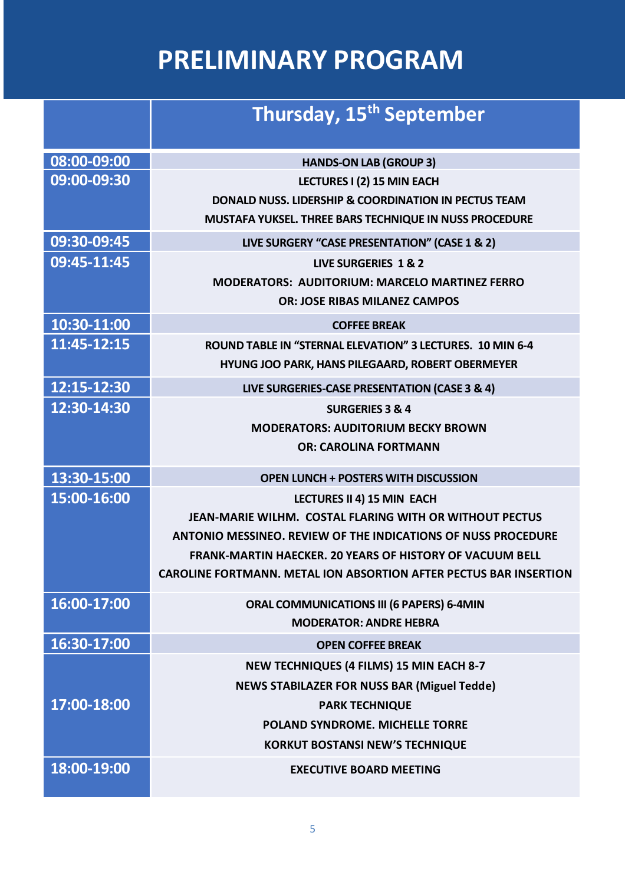# **PRELIMINARY PROGRAM**

|             | Thursday, 15 <sup>th</sup> September                                     |
|-------------|--------------------------------------------------------------------------|
| 08:00-09:00 | <b>HANDS-ON LAB (GROUP 3)</b>                                            |
| 09:00-09:30 | LECTURES I (2) 15 MIN EACH                                               |
|             | <b>DONALD NUSS, LIDERSHIP &amp; COORDINATION IN PECTUS TEAM</b>          |
|             | MUSTAFA YUKSEL. THREE BARS TECHNIQUE IN NUSS PROCEDURE                   |
| 09:30-09:45 | LIVE SURGERY "CASE PRESENTATION" (CASE 1 & 2)                            |
| 09:45-11:45 | <b>LIVE SURGERIES 1 &amp; 2</b>                                          |
|             | <b>MODERATORS: AUDITORIUM: MARCELO MARTINEZ FERRO</b>                    |
|             | <b>OR: JOSE RIBAS MILANEZ CAMPOS</b>                                     |
| 10:30-11:00 | <b>COFFEE BREAK</b>                                                      |
| 11:45-12:15 | ROUND TABLE IN "STERNAL ELEVATION" 3 LECTURES. 10 MIN 6-4                |
|             | HYUNG JOO PARK, HANS PILEGAARD, ROBERT OBERMEYER                         |
| 12:15-12:30 | LIVE SURGERIES-CASE PRESENTATION (CASE 3 & 4)                            |
| 12:30-14:30 | <b>SURGERIES 3 &amp; 4</b>                                               |
|             | <b>MODERATORS: AUDITORIUM BECKY BROWN</b>                                |
|             | <b>OR: CAROLINA FORTMANN</b>                                             |
| 13:30-15:00 | <b>OPEN LUNCH + POSTERS WITH DISCUSSION</b>                              |
| 15:00-16:00 | LECTURES II 4) 15 MIN EACH                                               |
|             | JEAN-MARIE WILHM. COSTAL FLARING WITH OR WITHOUT PECTUS                  |
|             | <b>ANTONIO MESSINEO. REVIEW OF THE INDICATIONS OF NUSS PROCEDURE</b>     |
|             | <b>FRANK-MARTIN HAECKER. 20 YEARS OF HISTORY OF VACUUM BELL</b>          |
|             | <b>CAROLINE FORTMANN. METAL ION ABSORTION AFTER PECTUS BAR INSERTION</b> |
| 16:00-17:00 | <b>ORAL COMMUNICATIONS III (6 PAPERS) 6-4MIN</b>                         |
|             | <b>MODERATOR: ANDRE HEBRA</b>                                            |
| 16:30-17:00 | <b>OPEN COFFEE BREAK</b>                                                 |
|             | <b>NEW TECHNIQUES (4 FILMS) 15 MIN EACH 8-7</b>                          |
|             | <b>NEWS STABILAZER FOR NUSS BAR (Miguel Tedde)</b>                       |
| 17:00-18:00 | <b>PARK TECHNIQUE</b>                                                    |
|             | <b>POLAND SYNDROME. MICHELLE TORRE</b>                                   |
|             | <b>KORKUT BOSTANSI NEW'S TECHNIQUE</b>                                   |
| 18:00-19:00 | <b>EXECUTIVE BOARD MEETING</b>                                           |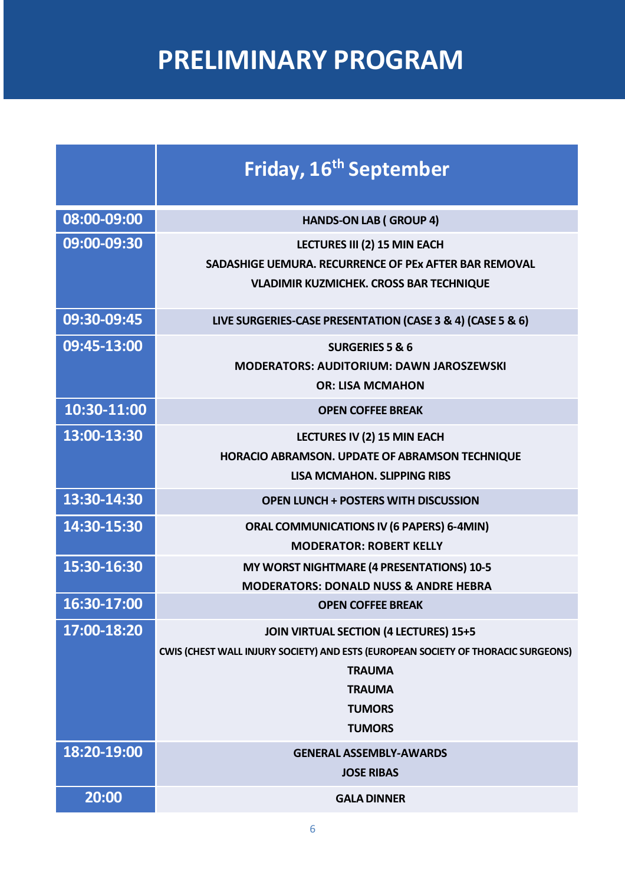# **PRELIMINARY PROGRAM**

|             | Friday, 16 <sup>th</sup> September                                                                                                                                                                     |
|-------------|--------------------------------------------------------------------------------------------------------------------------------------------------------------------------------------------------------|
| 08:00-09:00 | <b>HANDS-ON LAB (GROUP 4)</b>                                                                                                                                                                          |
| 09:00-09:30 | LECTURES III (2) 15 MIN EACH<br>SADASHIGE UEMURA. RECURRENCE OF PEX AFTER BAR REMOVAL<br><b>VLADIMIR KUZMICHEK. CROSS BAR TECHNIQUE</b>                                                                |
| 09:30-09:45 | LIVE SURGERIES-CASE PRESENTATION (CASE 3 & 4) (CASE 5 & 6)                                                                                                                                             |
| 09:45-13:00 | <b>SURGERIES 5 &amp; 6</b><br><b>MODERATORS: AUDITORIUM: DAWN JAROSZEWSKI</b><br><b>OR: LISA MCMAHON</b>                                                                                               |
| 10:30-11:00 | <b>OPEN COFFEE BREAK</b>                                                                                                                                                                               |
| 13:00-13:30 | LECTURES IV (2) 15 MIN EACH<br>HORACIO ABRAMSON. UPDATE OF ABRAMSON TECHNIQUE<br><b>LISA MCMAHON, SLIPPING RIBS</b>                                                                                    |
| 13:30-14:30 | <b>OPEN LUNCH + POSTERS WITH DISCUSSION</b>                                                                                                                                                            |
| 14:30-15:30 | <b>ORAL COMMUNICATIONS IV (6 PAPERS) 6-4MIN)</b><br><b>MODERATOR: ROBERT KELLY</b>                                                                                                                     |
| 15:30-16:30 | MY WORST NIGHTMARE (4 PRESENTATIONS) 10-5<br><b>MODERATORS: DONALD NUSS &amp; ANDRE HEBRA</b>                                                                                                          |
| 16:30-17:00 | <b>OPEN COFFEE BREAK</b>                                                                                                                                                                               |
| 17:00-18:20 | <b>JOIN VIRTUAL SECTION (4 LECTURES) 15+5</b><br>CWIS (CHEST WALL INJURY SOCIETY) AND ESTS (EUROPEAN SOCIETY OF THORACIC SURGEONS)<br><b>TRAUMA</b><br><b>TRAUMA</b><br><b>TUMORS</b><br><b>TUMORS</b> |
| 18:20-19:00 | <b>GENERAL ASSEMBLY-AWARDS</b><br><b>JOSE RIBAS</b>                                                                                                                                                    |
| 20:00       | <b>GALA DINNER</b>                                                                                                                                                                                     |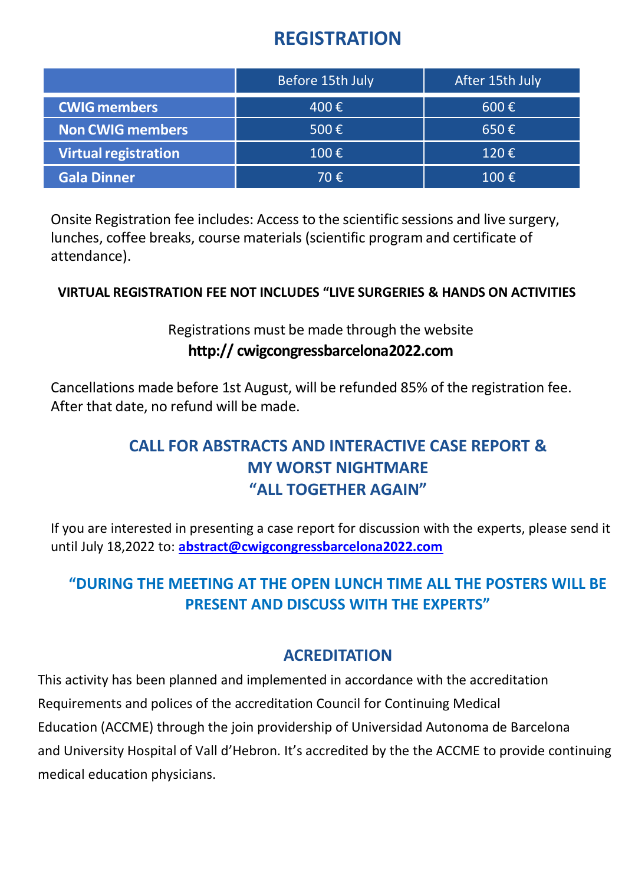### **REGISTRATION**

|                             | Before 15th July   | After 15th July    |
|-----------------------------|--------------------|--------------------|
| <b>CWIG members</b>         | 400€               | $600 \text{ } \in$ |
| Non CWIG members            | 500 $\epsilon$     | $650 \text{ } \in$ |
| <b>Virtual registration</b> | $100 \text{ } \in$ | $120 \epsilon$     |
| <b>Gala Dinner</b>          | 70€                | 100 $\epsilon$     |

Onsite Registration fee includes: Access to the scientific sessions and live surgery, lunches, coffee breaks, course materials (scientific program and certificate of attendance).

### **VIRTUAL REGISTRATION FEE NOT INCLUDES "LIVE SURGERIES & HANDS ON ACTIVITIES**

### Registrations must be made through the website **http:// cwigcongressbarcelona2022.com**

Cancellations made before 1st August, will be refunded 85% of the registration fee. After that date, no refund will be made.

### **CALL FOR ABSTRACTS AND INTERACTIVE CASE REPORT & MY WORST NIGHTMARE "ALL TOGETHER AGAIN"**

If you are interested in presenting a case report for discussion with the experts, please send it until July 18,2022 to: **[abstract@cwigcongressbarcelona2022.com](mailto:abstract@cwigcongressbarcelona2022.com)**

### **"DURING THE MEETING AT THE OPEN LUNCH TIME ALL THE POSTERS WILL BE PRESENT AND DISCUSS WITH THE EXPERTS"**

### **ACREDITATION**

This activity has been planned and implemented in accordance with the accreditation Requirements and polices of the accreditation Council for Continuing Medical Education (ACCME) through the join providership of Universidad Autonoma de Barcelona and University Hospital of Vall d'Hebron. It's accredited by the the ACCME to provide continuing medical education physicians.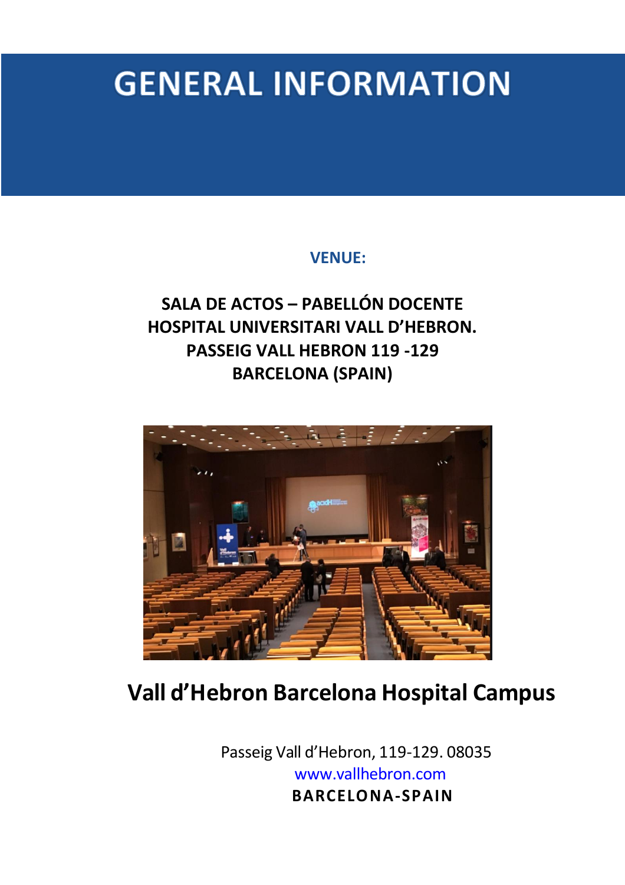# **GENERAL INFORMATION**

### **VENUE:**

## **SALA DE ACTOS – PABELLÓN DOCENTE HOSPITAL UNIVERSITARI VALL D'HEBRON. PASSEIG VALL HEBRON 119 -129 BARCELONA (SPAIN)**



# **Vall d'Hebron Barcelona Hospital Campus**

 Passeig Vall d'Hebron, 119-129. 08035 www.vallhebron.com  **BARCELONA-SPAIN**